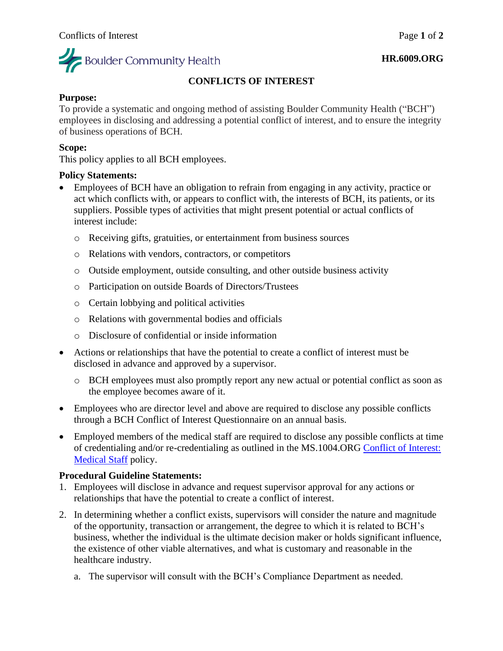

#### **HR.6009.ORG**

# **CONFLICTS OF INTEREST**

# **Purpose:**

To provide a systematic and ongoing method of assisting Boulder Community Health ("BCH") employees in disclosing and addressing a potential conflict of interest, and to ensure the integrity of business operations of BCH.

# **Scope:**

This policy applies to all BCH employees.

### **Policy Statements:**

- Employees of BCH have an obligation to refrain from engaging in any activity, practice or act which conflicts with, or appears to conflict with, the interests of BCH, its patients, or its suppliers. Possible types of activities that might present potential or actual conflicts of interest include:
	- o Receiving gifts, gratuities, or entertainment from business sources
	- o Relations with vendors, contractors, or competitors
	- o Outside employment, outside consulting, and other outside business activity
	- o Participation on outside Boards of Directors/Trustees
	- o Certain lobbying and political activities
	- o Relations with governmental bodies and officials
	- o Disclosure of confidential or inside information
- Actions or relationships that have the potential to create a conflict of interest must be disclosed in advance and approved by a supervisor.
	- o BCH employees must also promptly report any new actual or potential conflict as soon as the employee becomes aware of it.
- Employees who are director level and above are required to disclose any possible conflicts through a BCH Conflict of Interest Questionnaire on an annual basis.
- Employed members of the medical staff are required to disclose any possible conflicts at time of credentialing and/or re-credentialing as outlined in the MS.1004.ORG [Conflict of Interest:](https://mybch.sharepoint.com/policies/Clinical%20Policy%20Repository/Conflict%20Of%20Interest-Medical%20Staff.pdf)  [Medical Staff](https://mybch.sharepoint.com/policies/Clinical%20Policy%20Repository/Conflict%20Of%20Interest-Medical%20Staff.pdf) policy.

#### **Procedural Guideline Statements:**

- 1. Employees will disclose in advance and request supervisor approval for any actions or relationships that have the potential to create a conflict of interest.
- 2. In determining whether a conflict exists, supervisors will consider the nature and magnitude of the opportunity, transaction or arrangement, the degree to which it is related to BCH's business, whether the individual is the ultimate decision maker or holds significant influence, the existence of other viable alternatives, and what is customary and reasonable in the healthcare industry.
	- a. The supervisor will consult with the BCH's Compliance Department as needed.